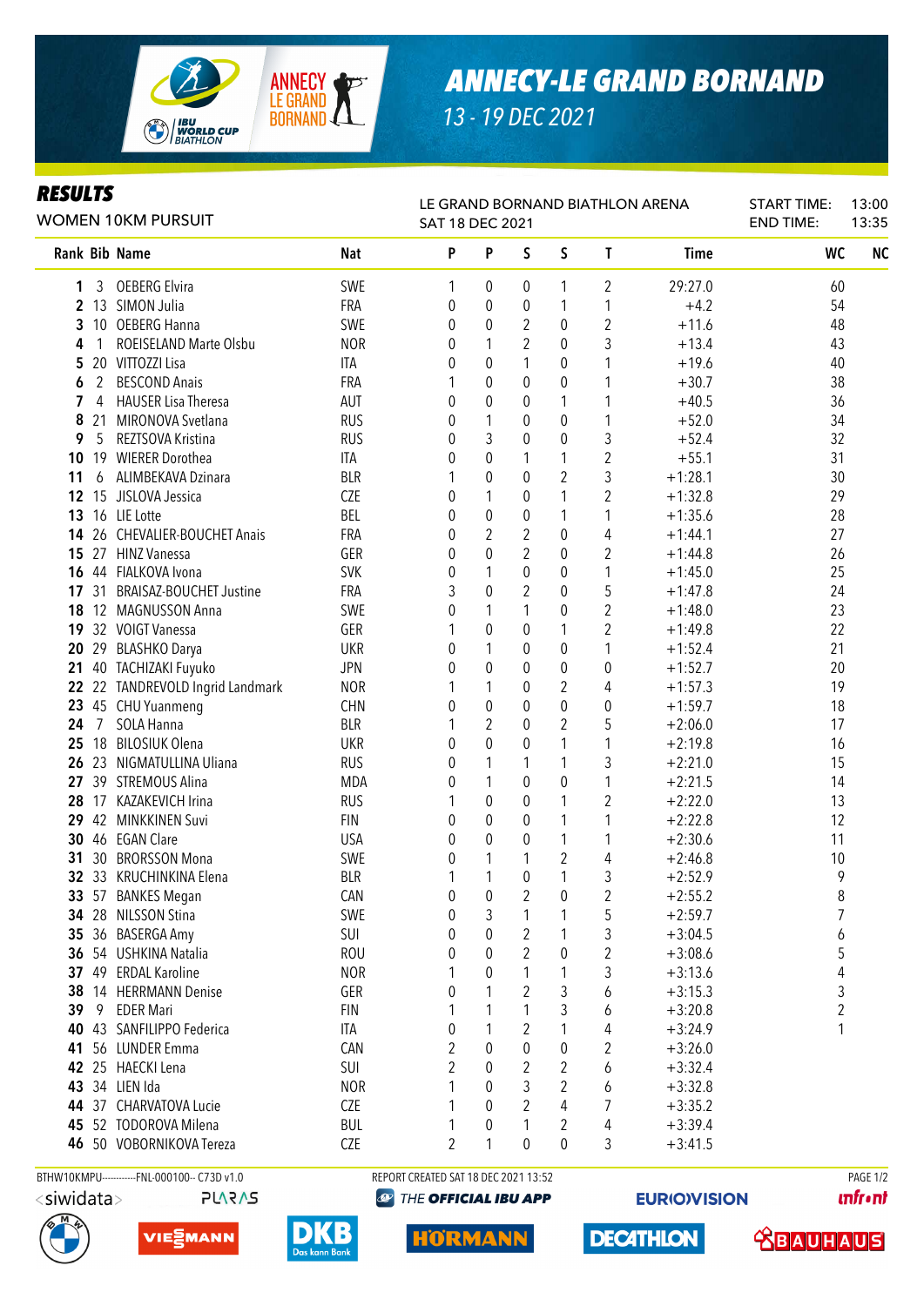

## *13 - 19 DEC 2021*

## *RESULTS*

| RLJVLI J<br>WOMEN 10KM PURSUIT |                 |                               |            | LE GRAND BORNAND BIATHLON ARENA<br>SAT 18 DEC 2021 |                  | <b>START TIME:</b><br><b>END TIME:</b> | 13:00<br>13:35 |                |             |                |           |
|--------------------------------|-----------------|-------------------------------|------------|----------------------------------------------------|------------------|----------------------------------------|----------------|----------------|-------------|----------------|-----------|
|                                |                 | <b>Rank Bib Name</b>          | <b>Nat</b> | P                                                  | P                | S                                      | $\mathsf S$    | T              | <b>Time</b> | WC             | <b>NC</b> |
| 1                              | 3               | <b>OEBERG Elvira</b>          | SWE        | 1                                                  | 0                | 0                                      | 1              | 2              | 29:27.0     | 60             |           |
| 2                              |                 | 13 SIMON Julia                | <b>FRA</b> | 0                                                  | $\mathbf 0$      | 0                                      | 1              | 1              | $+4.2$      | 54             |           |
| 3                              |                 | 10 OEBERG Hanna               | SWE        | 0                                                  | $\boldsymbol{0}$ | $\overline{2}$                         | 0              | 2              | $+11.6$     | 48             |           |
| 4                              | 1               | ROEISELAND Marte Olsbu        | <b>NOR</b> | 0                                                  | 1                | $\overline{2}$                         | $\mathbf{0}$   | 3              | $+13.4$     | 43             |           |
| 5                              |                 | 20 VITTOZZI Lisa              | ITA        | 0                                                  | $\mathbf 0$      | 1                                      | $\mathbf 0$    | 1              | $+19.6$     | 40             |           |
| 6                              | 2               | <b>BESCOND Anais</b>          | FRA        | 1                                                  | $\boldsymbol{0}$ | 0                                      | 0              | 1              | $+30.7$     | 38             |           |
| 7                              | 4               | <b>HAUSER Lisa Theresa</b>    | AUT        | 0                                                  | $\boldsymbol{0}$ | 0                                      | 1              | 1              | $+40.5$     | 36             |           |
| 8                              |                 | 21 MIRONOVA Svetlana          | <b>RUS</b> | 0                                                  | $\mathbf{1}$     | 0                                      | $\pmb{0}$      | 1              | $+52.0$     | 34             |           |
| 9                              | 5               | REZTSOVA Kristina             | <b>RUS</b> | 0                                                  | 3                | 0                                      | 0              | 3              | $+52.4$     | 32             |           |
| 10                             |                 | 19 WIERER Dorothea            | ITA        | 0                                                  | $\boldsymbol{0}$ | 1                                      | 1              | $\overline{2}$ | $+55.1$     | 31             |           |
| 11                             | 6               | ALIMBEKAVA Dzinara            | <b>BLR</b> |                                                    | $\boldsymbol{0}$ | 0                                      | $\overline{2}$ | 3              | $+1:28.1$   | 30             |           |
| 12                             |                 | 15 JISLOVA Jessica            | <b>CZE</b> | 0                                                  | 1                | 0                                      | 1              | $\overline{2}$ | $+1:32.8$   | 29             |           |
| 13                             |                 | 16 LIE Lotte                  | BEL        | 0                                                  | $\mathbf 0$      | 0                                      | 1              | 1              | $+1:35.6$   | 28             |           |
| 14                             |                 | 26 CHEVALIER-BOUCHET Anais    | FRA        | 0                                                  | $\overline{2}$   | $\boldsymbol{2}$                       | $\mathbf 0$    | 4              | $+1:44.1$   | 27             |           |
|                                |                 | 15 27 HINZ Vanessa            | GER        | 0                                                  | $\overline{0}$   | $\overline{2}$                         | 0              | 2              | $+1:44.8$   | 26             |           |
| 16                             |                 | 44 FIALKOVA Ivona             | <b>SVK</b> | 0                                                  | 1                | 0                                      | $\mathbf 0$    | 1              | $+1:45.0$   | 25             |           |
|                                |                 | 17 31 BRAISAZ-BOUCHET Justine | FRA        | 3                                                  | $\mathbf 0$      | $\overline{2}$                         | 0              | 5              | $+1:47.8$   | 24             |           |
|                                |                 | 18 12 MAGNUSSON Anna          | SWE        | 0                                                  | 1                | 1                                      | $\mathbf 0$    | $\overline{2}$ | $+1:48.0$   | 23             |           |
|                                |                 | 19 32 VOIGT Vanessa           | GER        | 1                                                  | 0                | 0                                      | 1              | $\overline{2}$ | $+1:49.8$   | 22             |           |
| 20                             |                 | 29 BLASHKO Darya              | <b>UKR</b> | 0                                                  | 1                | 0                                      | $\mathbf 0$    | 1              | $+1:52.4$   | 21             |           |
| 21                             |                 | 40 TACHIZAKI Fuyuko           | <b>JPN</b> | 0                                                  | 0                | $\mathbf{0}$                           | $\pmb{0}$      | 0              | $+1:52.7$   | 20             |           |
| 22                             |                 | 22 TANDREVOLD Ingrid Landmark | <b>NOR</b> | 1                                                  | 1                | 0                                      | $\overline{2}$ | 4              | $+1:57.3$   | 19             |           |
|                                |                 | 23 45 CHU Yuanmeng            | <b>CHN</b> | 0                                                  | $\mathbf{0}$     | $\theta$                               | $\pmb{0}$      | 0              | $+1:59.7$   | 18             |           |
| 24                             | $7\overline{ }$ | SOLA Hanna                    | <b>BLR</b> | 1                                                  | $\overline{2}$   | $\theta$                               | 2              | 5              | $+2:06.0$   | 17             |           |
| 25                             |                 | 18 BILOSIUK Olena             | <b>UKR</b> | 0                                                  | $\mathbf{0}$     | $\mathbf{0}$                           | 1              | 1              | $+2:19.8$   | 16             |           |
| 26                             |                 | 23 NIGMATULLINA Uliana        | <b>RUS</b> | 0                                                  | 1                | 1                                      | 1              | 3              | $+2:21.0$   | 15             |           |
| 27                             |                 | 39 STREMOUS Alina             | MDA        | 0                                                  | 1                | $\theta$                               | 0              | 1              | $+2:21.5$   | 14             |           |
|                                |                 | 28 17 KAZAKEVICH Irina        | <b>RUS</b> | 1                                                  | $\mathbf 0$      | 0                                      | 1              | 2              | $+2:22.0$   | 13             |           |
| 29                             |                 | 42 MINKKINEN Suvi             | <b>FIN</b> | 0                                                  | $\mathbf 0$      | 0                                      | 1              | 1              | $+2:22.8$   | 12             |           |
|                                |                 | 30 46 EGAN Clare              | <b>USA</b> | 0                                                  | $\mathbf 0$      | 0                                      | 1              | 1              | $+2:30.6$   | 11             |           |
| 31                             |                 | 30 BRORSSON Mona              | SWE        | 0                                                  | 1                | 1                                      | $\overline{2}$ | 4              | $+2:46.8$   | 10             |           |
|                                |                 | 32 33 KRUCHINKINA Elena       | <b>BLR</b> |                                                    | 1                | $\mathbf 0$                            | $\mathbf{1}$   | 3              | $+2:52.9$   | 9              |           |
|                                |                 | 33 57 BANKES Megan            | CAN        | $\pmb{0}$                                          | $\pmb{0}$        | $\overline{c}$                         | $\pmb{0}$      | $\overline{2}$ | $+2:55.2$   | 8              |           |
|                                |                 | 34 28 NILSSON Stina           | SWE        | 0                                                  | 3                | 1                                      | 1              | 5              | $+2:59.7$   | $\overline{7}$ |           |
|                                |                 | 35 36 BASERGA Amy             | SUI        | 0                                                  | $\mathbf 0$      | 2                                      | 1              | 3              | $+3:04.5$   | 6              |           |
|                                |                 | 36 54 USHKINA Natalia         | <b>ROU</b> | 0                                                  | $\theta$         | 2                                      | 0              | 2              | $+3:08.6$   | 5              |           |
|                                |                 | 37 49 ERDAL Karoline          | <b>NOR</b> |                                                    | $\theta$         | 1                                      | 1              | 3              | $+3:13.6$   | 4              |           |
|                                |                 | 38 14 HERRMANN Denise         | GER        | 0                                                  | 1                | 2                                      | 3              | 6              | $+3:15.3$   | 3              |           |
| 39                             | -9              | <b>EDER Mari</b>              | <b>FIN</b> | 1                                                  | 1                | 1                                      | 3              | 6              | $+3:20.8$   | $\overline{2}$ |           |
| 40                             |                 | 43 SANFILIPPO Federica        | ITA        | 0                                                  | 1                | 2                                      | 1              | 4              | $+3:24.9$   | 1              |           |
| 41                             |                 | 56 LUNDER Emma                | CAN        | 2                                                  | 0                | $\mathbf{0}$                           | 0              | 2              | $+3:26.0$   |                |           |
|                                |                 | 42 25 HAECKI Lena             | SUI        | 2                                                  | 0                | 2                                      | 2              | 6              | $+3:32.4$   |                |           |
|                                |                 | 43 34 LIEN Ida                | <b>NOR</b> | 1                                                  | 0                | 3                                      | 2              | 6              | $+3:32.8$   |                |           |
|                                |                 | 44 37 CHARVATOVA Lucie        | CZE        | 1                                                  | $\Omega$         | 2                                      | 4              | 7              | $+3:35.2$   |                |           |
|                                |                 | 45 52 TODOROVA Milena         | <b>BUL</b> | 1                                                  | 0                |                                        | $\overline{2}$ | 4              | $+3:39.4$   |                |           |
|                                |                 | 46 50 VOBORNIKOVA Tereza      | CZE        | 2                                                  | 1                | 0                                      | $\pmb{0}$      | 3              | $+3:41.5$   |                |           |

BTHW10KMPU-----------FNL-000100-- C73D v1.0 REPORT CREATED SAT 18 DEC 2021 13:52 REPORT CREATED SAT 18 DEC 2021 13:52 **PLARAS** 



**EURIO)VISION** 

**unfront**